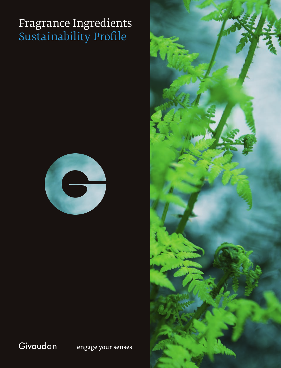## Fragrance Ingredients Sustainability Profile



### Givaudan

engage your senses

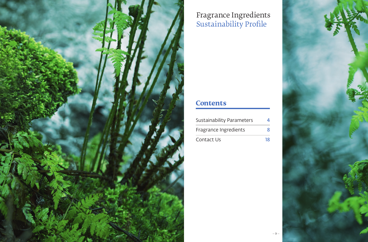

# Fragrance Ingredients Sustainability Profile

## **Contents**

| Sustainability Parameters |    |
|---------------------------|----|
| Fragrance Ingredients     | x  |
| Contact Us                | 18 |

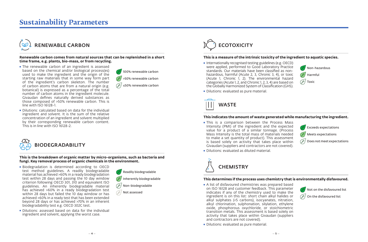### **Sustainability Parameters**



#### **Renewable carbon comes from natural sources that can be replenished in a short time frame, e.g. plants, bio-mass, or from recycling.**

- The renewable carbon of an ingredient is assessed based on the chemical and/or biological process(es) used to make the ingredient and the origin of the starting raw materials that in some way form part of the ingredient's carbon skeleton. The number of carbon atoms that are from a natural origin (e.g. botanical) is expressed as a percentage of the total number of carbon atoms in the ingredient molecule. Givaudan defines naturally derived substances as those composed of >50% renewable carbon. This is line with ISO 16128-1.
- Dilutions: calculated based on data for the individual ingredient and solvent. It is the sum of the relative concentration of an ingredient and solvent multiplied by their corresponding renewable carbon content. This is in line with ISO 16128-2.



### **This is the breakdown of organic matter by micro-organisms, such as bacteria and fungi. Key removal process of organic chemicals in the environment.**

• Biodegradation is determined according to OECD test method guidelines. A readily biodegradable material has achieved >60% in a ready biodegradation test within 28 days and passing the 10 day window criterion following OECD 301, 310 and equivalent ISO guidelines. An inherently biodegradable material has achieved >60% in a ready biodegradation test within 28 days but failed the 10 day window or has achieved >60% in a ready test that has been extended beyond 28 days or has achieved >70% in an inherent biodegradability test e.g. OECD 302C test.



**K** Readily biodegradable

 $\mathbb Z$  100% renewable carbon >50% renewable carbon ≤50% renewable carbon

Œ

Inherently biodegradable

### $(\mathbb{X})$  Non-biodegradable

 $\mathbb{Z}/\mathbb{N}$ ot assessed



### **This is a measure of the intrinsic toxicity of the ingredient to aquatic species.**

• Internationally recognised testing guidelines (e.g. OECD) were applied, performed to Good Laboratory Practice standards. Our materials have been classified as nonhazardous, harmful (Acute 2, 3, Chronic 3, 4), or toxic (Acute 1, Chronic 1, 2). The environmental hazard categories (Acute 1, 2, and Chronic 1, 2, 3, 4) are based on the Globally Harmonized System of Classification (GHS).

Non-hazardous

Harmful

 $\mathbb{Z}/\sqrt{2}$  Toxic

• Dilutions: evaluated as pure material.



### **This indicates the amount of waste generated while manufacturing the ingredient.**

• This is a comparison between the Process Mass Intensity (PMI) of the ingredient and the expected value for a product of a similar tonnage. (Process Mass Intensity is the total mass of materials needed to make a set quantity of product). This assessment is based solely on activity that takes place within Givaudan (suppliers and contractors are not covered).



• Dilutions: evaluated as diluted material.

• Dilutions: evaluated as pure material.



### **This determines if the process uses chemistry that is environmentally disfavoured.**

• A list of disfavoured chemistries was prepared based on ISO 16128 and customer feedback. This parameter indicates if any of the chemistry used to make the ingredient is on this list: short chain alkyl halides or alkyl sulphates (<5 carbons), isocyanates, nitration, alkyl chlorination, sulphonation, silylation, ethylene oxide, phosphorous oxychloride, or stoichiometric transition metals. This assessment is based solely on activity that takes place within Givaudan (suppliers and contractors are not covered).



On the disfavoured list

• Dilutions: assessed based on data for the individual ingredient and solvent, applying the worst case.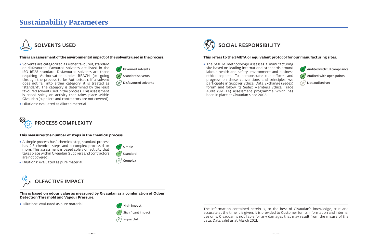### **Sustainability Parameters**



### **This is an assessment of the environmental impact of the solvents used in the process.**

- Solvents are categorized as either favoured, standard or disfavoured. Favoured solvents are listed in the ISO 16128 standard. Disfavoured solvents are those requiring Authorisation under REACH (or going through the process to be Authorised). If a solvent does not fall into either category, it is treated as "standard". The category is determined by the least favoured solvent used in the process. This assessment is based solely on activity that takes place within Givaudan (suppliers and contractors are not covered).
- Dilutions: evaluated as diluted material.



#### **This measures the number of steps in the chemical process.**

- A simple process has 1 chemical step, standard process has 2-3 chemical steps and a complex process 4 or more. This assessment is based solely on activity that takes place within Givaudan (suppliers and contractors are not covered).
- Dilutions: evaluated as pure material.



**This is based on odour value as measured by Givaudan as a combination of Odour Detection Threshold and Vapour Pressure.**

• Dilutions: evaluated as pure material.  $\mathbb{Z}$  High impact

 $\n *F*/<sub>2</sub>$  Simple  $\mathbb{Z}/\mathbb{S}$ tandard Complex

 $\mathbb{F}$  Favoured solvents  $\mathbb{Z}$  Standard solvents  $D$  Disfavoured solvents



The information contained herein is, to the best of Givaudan's knowledge, true and accurate at the time it is given. It is provided to Customer for its information and internal use only. Givaudan is not liable for any damages that may result from the misuse of the data. Data valid as at March 2021.



### **This refers to the SMETA or equivalent protocol for our manufacturing sites.**

• The SMETA methodology assesses a manufacturing site based on leading international standards around labour, health and safety, environment and business ethics aspects. To demonstrate our efforts and progress on these conventions and principles, we participate in Supplier Ethical Data Exchange (Sedex) forum and follow its Sedex Members Ethical Trade Audit (SMETA) assessment programme which has been in place at Givaudan since 2008.

Audited with full compliance Audited with open points

Œ Not audited yet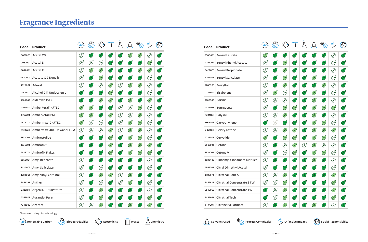| Code    | Product                     | $\circledast$ | ෯             |               | $\overline{   }$ |              |               | త్కి<br>శ్రీరై | $\frac{O_0}{O}$ | $\Im$          |
|---------|-----------------------------|---------------|---------------|---------------|------------------|--------------|---------------|----------------|-----------------|----------------|
|         | 0073003 Acetal CD           | E             | اعلم          |               |                  |              | $\mathscr{L}$ | $\mathscr{L}$  | E               | 冸              |
|         | 0087001 Acetal E            | E             | E             | E             | عر               | عر           | عر            | عر             | $\mathscr{L}$   | 冸              |
|         | 0098001 Acetal R            | E             | $\mathbb{Z}$  | $\mathscr{L}$ | 冸                | بخلا         | بطير          | $\mathscr{L}$  | $\mathscr{L}$   | $\mathbb{P}$   |
|         | 0420003 Acetate C 9 Nonylic | E             | 冯             | $\mathscr{L}$ | 冸                | 凶            | اعلم          | عج             | E               | 酉              |
| 1028001 | Adoxal                      | E             | اعلم          | E             | $\mathscr{L}$    | E            | $\mathscr{L}$ | $\mathbb{Z}$   | E               | 冸              |
| 1141003 | Alcohol C 11 Undecylenic    | $\mathbb{Z}$  | 凶             | رعلم          | $\mathbb{Z}$     | $\mathbb{Z}$ | 冸             | 飞              | E               | $(\mathbb{R})$ |
| 1560803 | Aldehyde Iso C 11           | اعلج          | 凶             | $\mathscr{L}$ | $\mathbb{Z}$     | $\mathbb{F}$ | $\mathbb{F}$  | عط             | $\mathscr{L}$   | 酉              |
| 1793703 | Amberketal 1%/TEC           | $\mathscr{L}$ | $\mathscr{L}$ | رسلي          | اعلم             | E            | E             | $\mathbb{Z}$   | E               | 冸              |
| 8755303 | Amberketal IPM              | $\mathscr{L}$ | $\mathbb{Z}$  | اعلم          | $\mathbb{Z}$     | E            | E             | $\mathbb{F}$   | E               | Œ              |
| 1472033 | Ambermax 10%/TEC            | $\mathscr{E}$ | E             | E             | 冸                | E            | $\mathscr{L}$ | $\mathbb{F}$   | E               | 鸣              |
| 1472023 | Ambermax 50%/Dowanol TPM    | E             | E             | E             | $\mathscr{L}$    | E            | $\mathbb{Z}$  | $\mathscr{L}$  | E               | $\mathbb{F}$   |
| 1832003 | Ambrettolide                | E             | اعلم          | رعلم          | $\mathscr{L}$    | $\mathbb{Z}$ | $\mathscr{L}$ | $\mathbb{F}$   | Ø               | Œ)             |
| 1836803 | Ambrofix <sup>*</sup>       | اعلج          | اعلم          | 冸             | $\mathbb{Z}$     | $\mathbb{F}$ | $\mathbb{F}$  | $\mathbb{F}$   | $\mathbb{Z}$    | 严              |
| 1486273 | Ambrofix Flakes             | رعلم          | اعلم          | بطلم          | $\mathbb{Z}$     | 凶            | $\mathscr{L}$ | $\mathscr{L}$  | $\mathscr{L}$   | 四              |
| 2560001 | Amyl Benzoate               | E             | اعلم          | وعطيم         | رعلم             | رسلي         | عج            | بخلير          | E               | $(\nvdash)$    |
| 8810001 | Amyl Salicylate             | E             | 趻             | E             | $(\nvdash)$      | 严            | 严             | أعلم           | E               | 严              |
| 1884001 | Amyl Vinyl Carbinol         | E             | اعلم          | $\mathscr{L}$ | $\mathbb{Z}$     | E            | $\mathbb{Z}$  | عر             | Æ,              | 严              |
| 5846393 | Anther                      | E             | 凶             | E             | $\mathbb{F}$     | E            | $\mathscr{L}$ | 冸              | E               | $\mathbb{P}$   |
| 2323103 | Argeol DIP Substitute       | E             | 严             | $\mathscr{L}$ | $\mathbb{P}$     | 酉            | 严             | رعلي           | Ø               | 严              |
| 2365901 | <b>Aurantiol Pure</b>       | E             | اعلم          | $\mathbb{Z}$  | اعلم             | رسلي         | عر            |                | $\mathscr{L}$   | اعلم           |
|         | 7043003 Azarbre             | E             | E             | $\mathbb{Z}$  |                  |              | $\mathbb{Z}$  |                | $\mathscr{L}$   | اعلم           |

\*Produced using biotechnology

|  | <b>(<math>\bigcirc</math>)</b> Renewable Carbon $\bigcirc$ Biodegradability $\bigcirc$ Ecotoxicity $\overline{   }$ Waste $\bigcirc$ Chemistry |  |  |  |  | Solvents Used $\bigotimes_{\{\bigcirc\}}$ Process Complexity $\bigcirc_{\bigcirc}^0$ Olfactive Impact $\bigcirc_{\bigcirc}^0$ Social Responsibility |  |  |
|--|------------------------------------------------------------------------------------------------------------------------------------------------|--|--|--|--|-----------------------------------------------------------------------------------------------------------------------------------------------------|--|--|
|--|------------------------------------------------------------------------------------------------------------------------------------------------|--|--|--|--|-----------------------------------------------------------------------------------------------------------------------------------------------------|--|--|

| Code    | Product                      | $\omega$         |              |               | $\overline{\mathsf{III}}$ |              |               | ۯ             | ర్మ           | $\mathcal{E}$            |
|---------|------------------------------|------------------|--------------|---------------|---------------------------|--------------|---------------|---------------|---------------|--------------------------|
| 6500001 | <b>Benzyl Laurate</b>        | $(\n\mathbb{F})$ |              |               | ⊭ٍ                        | ⊭ٍ           |               |               | E             |                          |
| 8191001 | <b>Benzyl Phenyl Acetate</b> | E                |              | $\mathbb{Z}$  |                           |              |               | ¥             | E             | P.                       |
| 8429001 | <b>Benzyl Propionate</b>     | E                | ピ            | $\mathbb{Z}$  | 必                         | $\mathbb{Z}$ | Ψ             | 飞             | E             | 严                        |
| 8813001 | <b>Benzyl Salicylate</b>     | E                | 半            | $\mathscr{E}$ | عر                        | Ł            | $\mathscr{L}$ | 严             | E             | 酉                        |
| 5206903 | Berryflor                    | E                | Æ.           | $\mathscr{F}$ | عر                        | ¥            | ⊭             | $\mathscr{L}$ | E             | 酉                        |
| 2751503 | <b>Bisabolene</b>            | E                | $\mathbb{Z}$ | E             | Ŀ                         | Œ            | $\mathscr{E}$ | (F)           | E             | 飞                        |
| 2786903 | <b>Boisiris</b>              | E                | E            | E             | عج                        | 冸            | $\mathbb{Z}$  | 冸             | E             | اعلج                     |
| 2837903 | Bourgeonal                   | E                | Œ            | $\mathbb{Z}$  | $\mathbb{Z}$              | Œ            | $\mathbb{Z}$  | $\mathbb{Z}$  | $\mathbb{Z}$  | 严                        |
| 1384163 | Calyxol                      | E                | E            | $\mathbb{Z}$  | عج                        | P.           | $\mathbb{Z}$  | اعلم          | E             | 严                        |
| 3369003 | Caryophyllenol               | $\mathbb{F}$     | Œ)           | Œ             | 耂                         | $\mathbb{Z}$ | $\mathbb{Z}$  | $\mathbb{Z}$  | E             | $\overline{\mathscr{E}}$ |
| 3491103 | Celery Ketone                | E                | E            | $\mathscr{E}$ | $\mathscr{L}$             | 飞            | $\mathscr{L}$ | $\mathbb{Z}$  | $\mathscr{L}$ | رعلم                     |
| 7225001 | Cervolide                    | $\mathbb{Z}$     | بطل          | $\mathbb{Z}$  | $\mathbb{Z}$              | Ł            | $\mathbb{Z}$  | $\mathbb{Z}$  | E             | 严                        |
| 3507501 | Cetonal                      | E                | Œ.           | E             | $\mathbb{Z}$              | F)           | $\mathbb{Z}$  | $\mathbb{Z}$  | E             | 严                        |
| 3519003 | Cetone V                     | E                | ٣            | E             | $\mathscr{L}$             | Œ)           | $\mathscr{L}$ | $\mathbb{Z}$  | E             | $\mathbb{F}$             |
| 3889403 | Cinnamyl Cinnamate Distilled | E                | 必            | P             | P.                        | Œ            | $\mathscr{L}$ | 凶             | E             | 严                        |
| 4567003 | Citral Dimethyl Acetal       | E                | ¥            | عج            | عر                        | ¥            | ¥             | ¥             | E             | $\mathbb F$              |
| 5847673 | Citrathal Conc S             | E                | E            | $\mathbb{Z}$  | ど                         | Œ            | 飞             | 飞             | $\mathscr{L}$ | $\mathbb{F}$             |
| 5847683 | Citrathal Concentrate STW    | E                | E            | $\mathbb{Z}$  | عر                        | ¥            | ど             | اعلم          | $\mathscr{L}$ | 酉                        |
| 5845063 | Citrathal Concentrate TW     | 些                | E            | $\mathbb{Z}$  |                           | ⊭ٍ           |               | عر            | E             | 严                        |
| 5847663 | Citrathal Tech               | 飞                | E            | $\mathbb{Z}$  | عر                        | عر           | عر            | عر            | E             |                          |
| 5119001 | Citronellyl Formate          | ŒJ               |              | $\mathbb{Z}$  |                           |              | $\mathbb{Z}$  |               | Œ             |                          |





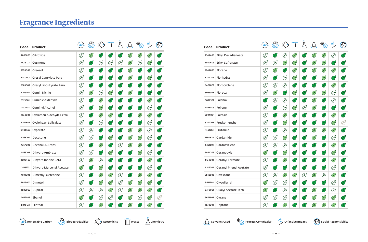| Code    | Product                  | (�)           | ෯             |               | $\overline{   }$ |           |               | తి <sub>ర్ర</sub> | $\frac{O_0}{O}$ | $\Im$         |
|---------|--------------------------|---------------|---------------|---------------|------------------|-----------|---------------|-------------------|-----------------|---------------|
| 4083803 | Citroxide                | E             | $\mathscr{L}$ |               |                  | عر        | $\mathscr{L}$ | $\mathscr{L}$     | $\mathbb{Z}$    | بطلم          |
| 0015173 | Cosmone                  | E             | اعلم          | E             | E                | E         | $\mathbb{Z}$  | E                 | $\mathscr{L}$   | اعلم          |
| 4198003 | Creosol                  | E             | 凶             | 些             | اعلم             | 吗         | $\mathbb{Z}$  | عر                | علم             | الخلأ         |
| 3280001 | Cresyl Caprylate Para    | E             | رعليز         |               | علم              | بطلا      | $\mathscr{L}$ |                   | $\mathbb{Z}$    | رسليل         |
| 6183003 | Cresyl Isobutyrate Para  | E             | اعلم          | بطلإ          | عر               | بخلا      | بخلير         |                   | عر              | اعلم          |
| 4223103 | <b>Cumin Nitrile</b>     | E             | $\mathscr{L}$ | E             | $\mathbb{Z}$     | 酉         | $\mathbb{F}$  |                   | بخلا            | الخليق        |
| 1515001 | Cuminic Aldehyde         | E             | 冯             | $\mathbb{Z}$  | 凈                | بط<br>رسم | بخلي          |                   | $\mathbb{Z}$    | اعلم          |
| 1177003 | <b>Cuminyl Alcohol</b>   | E             | $\mathbb{F}/$ | $\mathbb{Z}$  | اعلم             | ¥,        | ٣             | ♦                 | Ø               | 凶             |
| 1534001 | Cyclamen Aldehyde Extra  | E             | 严             | $\mathscr{L}$ | $\mathscr{L}$    | أيكلخ     | عج            | $\mathbb{F}$      | $\mathscr{L}$   | 严             |
| 8819601 | Cyclohexyl Salicylate    | E             | 凶             | E             | 冸                | الخلا     | پلا           | عج                | E               | ど             |
|         | 0405603 Cyperate         | E             | E             | رعلم          | عر               | بطلا      | $\mathscr{L}$ | $\mathbb{Z}$      | E               | 冸             |
| 4356101 | Decatone                 | E             | E             | 冯             | $\mathbb{Z}$     | 酉         | $\mathscr{L}$ | $\mathscr{L}$     | E               | 严             |
| 4357003 | Decenal-4-Trans          | E             | ど             | $\mathbb{Z}$  | 严                | Ø         | $\mathscr{L}$ | $\mathbb{F}$      | 严               | رعلي          |
| 4485103 | Dihydro Ambrate          | E             | E             | رعلم          | $\mathscr{L}$    | رعلم      | ⊭ٍ            | $\mathscr{L}$     | E               | (¥)           |
| 4508403 | Dihydro Ionone Beta      | E             | $\mathbb{Z}$  | E             | Œ)               | أعلم      | ⊭ٍ            |                   | $\mathscr{L}$   | $\mathbb{F}/$ |
| 1433123 | Dihydro Myrcenyl Acetate | $\mathscr{L}$ | 凶             | $\mathscr{L}$ | 冸                | اعلم      | ¥,            | عل                | E               | 凶             |
| 4591003 | Dimethyl Octenone        | E             | اعلم          | $\mathscr{L}$ | $\mathbb{Z}$     | E         | رعقمه         | $\mathbb{F}$      | $\mathscr{L}$   | Ł             |
|         | 4609001 Dimetol          | E             | 严             | $\mathscr{L}$ | $\mathscr{L}$    | E         | $\mathscr{L}$ | $\mathbb{F}$      | $\mathscr{L}$   | 严             |
|         | 4685003 Dupical          | E             | E             | E             | $\mathscr{L}$    | E         | $\mathbb{Z}$  | $\mathbb{F}$      | $\mathbb{Z}$    | اعلم          |
|         | 4697403 Ebanol           | $\mathscr{L}$ | اعلر          | E             | Ø                | 冸         | $\mathbb{F}$  | E                 | $\mathbb{Z}$    | E             |
| 5845123 | Elintaal                 | E             | اعلا          | $\mathscr{L}$ | ¥                | Ψ         | $\mathbb{Z}$  |                   | $\mathscr{L}$   | اعلم          |

| Code    | Product                    | (တ)          |               |               |                          | Д            | $\bigcirc$    | త్మిన్త       | $\frac{O_0}{\sqrt{2}}$ |       |
|---------|----------------------------|--------------|---------------|---------------|--------------------------|--------------|---------------|---------------|------------------------|-------|
| 4349403 | <b>Ethyl Decadienoate</b>  | $\mathbb{Z}$ | Ł,            | E             | $\mathbb{Z}$             | $\mathbb{Z}$ | $\mathscr{L}$ | $\mathscr{L}$ | E                      | أعلم  |
| 8802603 | <b>Ethyl Safranate</b>     | E            | E             | $\mathscr{L}$ | $\mathscr{L}$            | Œ            | $\mathscr{L}$ | $\mathscr{L}$ | (Ł)                    |       |
| 5849083 | Florane                    | E            | $\mathscr{L}$ | Œ)            | $\mathscr{L}$            | Œ,           | $\mathbb{Z}$  | $\mathscr{L}$ | $\mathbb{Z}$           | رسلي  |
| 8754243 | Florhydral                 | E            | $\mathbb{R}$  | E             | $\mathbb{Z}$             | $\mathbb{Z}$ | $(\nvdash)$   | $\mathbb{Z}$  | $(\mathbb{R})$         | اعلم  |
| 8467001 | Florocyclene               | E            | E             | E             | 飞                        | علا          | P             | 严             | $\mathscr{L}$          | عليز  |
| 5083303 | Florosa                    | E            | $\mathscr{L}$ | (F)           | $\mathscr{L}$            | $\mathbb{Z}$ | $\mathscr{L}$ | $\mathscr{L}$ | E                      | اعلا  |
| 5092501 | Folenox                    | $\mathbb{F}$ | E             | E             | $\mathbb{F}$             | 飞            | $\mathscr{L}$ | 冸             | E                      | 凶     |
| 5093003 | Folione                    | E            | 严             | E             | $\mathscr{L}$            | E            | $\mathscr{L}$ | اعلم          | Œ,                     | ے (م  |
| 5094001 | Folrosia                   | E            | $\mathbb{P}$  | $\mathscr{L}$ | Æ                        | Œ,           | P.            | 飞             | $\mathbb{Z}$           | ⊭(    |
| 5202703 | Freskomenthe               | E            | $\mathbb{P}$  | $\mathbb{Z}$  | 飞                        | Æ,           | P,            | 冸             | $\mathscr{L}$          | Œ)    |
| 1461553 | Frutonile                  | E            | 严             | E             | $\overline{\mathcal{F}}$ | Œ            | $\mathscr{L}$ | $\mathscr{L}$ | $\mathscr{L}$          | ا علم |
| 1390623 | Gardamide                  | E            | E             | $\mathbb{Z}$  | 飞                        | علا          | $\mathbb{Z}$  | اعلم          | E                      | اعلم  |
| 5361601 | Gardocyclene               | E            | E             | E             | Œ                        | $\mathbb{Z}$ | $\mathscr{L}$ | 飞             | $\mathscr{L}$          | 凶     |
| 5464203 | Geranodyle                 | $\mathbb{Z}$ | 严             | $\mathbb{Z}$  | يطم                      | Œ,           | علم           | الطلم         | $\mathscr{L}$          | 凶     |
| 5134001 | Geranyl Formate            | E            | 严             | $\mathscr{L}$ | $\mathbb{F}$             | 飞            | 飞             | 飞             | $\mathscr{L}$          | ⊭(    |
| 8215001 | Geranyl Phenyl Acetate     | E            | 严             | Œ             | $\mathbb{F}$             | Œ,           | Œ             | $\mathbb{P}$  | E                      | اعلر  |
| 5542803 | Givescone                  | E            | E             | $\mathbb{Z}$  | $\mathbb{Z}$             | E            | $\mathscr{E}$ | E             | $\mathbb{Z}$           | رعلي  |
| 5631203 | Glycolierral               | $\mathbb{Z}$ | E             | E             | 巫                        | $\mathbb{F}$ | P,            | 飞             | E                      | الخلا |
| 0310001 | <b>Guaiyl Acetate Tech</b> | $\mathbb{Z}$ | $\mathbb{P}$  | E             | 飞                        | 飞            | $\mathscr{L}$ | اعلم          | E                      | أعلم  |
| 5653603 | Gyrane                     | E            | E             | E             | $\mathbb{F}$             | $\mathbb{Z}$ | $\mathscr{L}$ | $\mathscr{L}$ | $\mathbb{Z}$           |       |
| 1678001 | Heptone                    | Œ            | عكي           | $\mathbb{Z}$  | P                        |              | $\mathscr{L}$ | $\mathscr{L}$ | $\mathscr{L}$          | ٣,    |







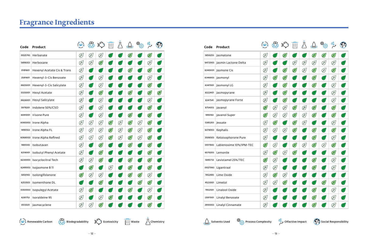| Code    | Product                        | (O)          | දිසි          |                         |               |      |               | తి <sub>స్త</sub> | $\frac{1}{2}$ | $\Im$         |
|---------|--------------------------------|--------------|---------------|-------------------------|---------------|------|---------------|-------------------|---------------|---------------|
| 0025743 | Herbanate                      | E            | E             | E                       | اعلم          |      | $\mathscr{L}$ | $\mathcal{L}$     | $\mathscr{L}$ | 凶             |
| 5698353 | Herboxane                      | E            | E             | $\mathscr{L}$           | اعلم          | بخلا | 必             | عج                | E             | 严             |
| 0181601 | Hexenyl Acetate Cis & Trans    | E            | 冯             | اعلم                    | اعلم          | رعلا | $\mathscr{L}$ | Œ,                | $\mathscr{L}$ | 冸             |
| 2581601 | Hexenyl-3-Cis Benzoate         | E            | $\mathbb{F}$  | E                       | 凈             | 凶    | 凶             | رعليم             | E             | 酉             |
| 8825001 | Hexenyl-3-Cis Salicylate       | E            | 冸             | E                       | رعلم          | رعلم | عر            | بخلي              | $\mathscr{L}$ | 凶             |
| 0335001 | <b>Hexyl Acetate</b>           | E            | 冸             | $\mathscr{L}$           | الطلم         | رعلا | $\mathscr{L}$ | Œ,                | $\mathbb{Z}$  | $\mathscr{L}$ |
| 8826001 | Hexyl Salicylate               | E            | $\mathbb{F}$  | E                       | $\mathbb{Z}$  | 凶    | 凶             | رعلم              | E             | 严             |
| 5979201 | Indolene 50%/CSO               | E            | اعلم          | $\mathscr{\mathscr{C}}$ | رعلم          | رعلا | ¥             | بخلي              | $\mathscr{L}$ | 四             |
| 6041001 | <b>Irisone Pure</b>            | E            | $\mathbb{F}/$ | E                       | $\mathbb{F}$  | 凶    | $\mathscr{L}$ | رعلم              | $\mathscr{L}$ | 严             |
| 6065003 | Irone Alpha                    | E            | E             | E                       | $\mathbb{Z}$  | E    | $\mathscr{L}$ | E                 | $\mathbb{Z}$  | 严             |
| 1490553 | Irone Alpha FL                 | E            | E             | E                       | $\mathbb{Z}$  | E    | $\mathscr{E}$ | E                 | $\mathscr{L}$ | اعلم          |
|         | 6068003 Irone Alpha Refined    | E            | E             | E                       | $\mathscr{L}$ | E    | $\mathscr{L}$ | E                 | $\mathbb{Z}$  | $\mathbb{F}$  |
| 1465543 | Isobutavan                     | E            | $\mathbb{F}$  | $\mathscr{L}$           | $\mathbb{P}$  | 酉    | $\mathscr{E}$ | $\mathbb{P}$      | $\mathbb{Z}$  | 酉             |
| 8218001 | <b>Isobutyl Phenyl Acetate</b> | E            | 冸             | $\mathscr{L}$           | رعلم          | 凶    | بخلير         | بخلي              | $\mathbb{Z}$  | 凶             |
| 6230003 | <b>Isocyclocitral Tech</b>     | E            | E             | $\mathscr{L}$           | 罔             | 乤    | $\mathscr{L}$ | $\mathcal{L}$     | $\mathscr{L}$ | $\mathbb{F}$  |
| 6249003 | Isojasmone B 11                | 酉            | $\mathbb{F}$  | اعلم                    | $\mathscr{G}$ | 酉    | $\mathscr{L}$ | رعلم              | $\mathbb{Z}$  | 四             |
| 5850143 | Isolongifolanone               | $\mathbb{Z}$ | E             | E                       | رعلم          | 凶    | $\mathbb{Z}$  | $\mathbb{Z}$      | E             | 飞             |
| 6253503 | Isomenthone DL                 | 凈            | 凶             | $\mathscr{L}$           | 判             | رعلا | رسلي          | $\mathscr{L}$     | $\mathbb{Z}$  | 凶             |
| 0350003 | <b>Isopulegyl Acetate</b>      | E            | $\mathbb{Z}$  | 严                       | 严             | 四    | $\mathscr{L}$ | رعلم              | E             | 严             |
| 6281753 | Isoraldeine 95                 | E            | 凶             | E                       | $\mathscr{L}$ | رسلخ |               | 些                 | $\mathbb{Z}$  | اعلم          |
| 0513501 | Jasmacyclene                   | E            | Ø             | $\mathbb{Z}$            | $\mathbf{r}$  |      |               |                   | $\mathscr{L}$ | 飞             |

| Code    | Product                 | $\infty$     |              |               |                | Д            | لجيكے         | తి <sub>ప్ర</sub> | $\frac{00}{\sqrt{2}}$ | $\mathbb{C}$ )            |
|---------|-------------------------|--------------|--------------|---------------|----------------|--------------|---------------|-------------------|-----------------------|---------------------------|
| 5850253 | Jasmatone               | Œ            |              | Œ             | عر             | 飞            | $\mathbb{Z}$  | $\mathscr{L}$     | $\mathscr{L}$         | 飞                         |
| 6472003 | Jasmin Lactone Delta    | E            | ¥            | P.            | E              | E            | E             | E                 | E                     | 严                         |
| 6340001 | Jasmone Cis             | E            | Œ            | $\mathbb{Z}$  | $\mathbb{R}^2$ | E            | $\mathbb{Z}$  | E                 | $\mathbb{R}^2$        | 巫                         |
| 6346803 | Jasmonyl                | E            | $\mathbb{Z}$ | $\mathbb{Z}$  | Œ              | P,           | $\mathbb{Z}$  | P.                | E                     | 飞                         |
| 6347001 | Jasmonyl LG             | E            | Œ            | $\mathscr{E}$ | Œ              | Œ,           | $\mathscr{E}$ | Æ                 | E                     | 严                         |
| 6322401 | Jasmopyrane             | E            | Œ            | $\mathbb{Z}$  | $\mathbb{R}$   | Œ            | Œ,            | $\mathbb{Z}$      | E                     | 严                         |
| 6347541 | Jasmopyrane Forte       | E            | ₽            | $\mathscr{L}$ | Œ              | $\mathbb{Z}$ | $\mathbb{F}$  | 飞                 | E                     | P,                        |
| 8754013 | Javanol                 | $\mathbb{Z}$ | Œ)           | E             | $\mathbb{P}$   | E            | $\mathbb{Z}$  | P,                | $\mathbb{Z}$          | $\mathbb{P}$              |
| 1493163 | Javanol Super           | $\mathbb{Z}$ | E            | E             | $\mathbb{Z}$   | E            | $\mathscr{L}$ | $\mathbb{F}$      | $\mathbb{Z}$          | $\mathbb{F}$              |
| 5385203 | Jessate                 | E            | $\mathbb{Z}$ | Œ,            | $\mathbb{Z}$   | E            | ¥.            | $\mathbb{F}$      | E                     | 飞                         |
| 6378003 | Kephalis                | E            | E            | E             | $\mathbb{Z}$   | Œ,           | $\mathscr{L}$ | Æ                 | $\mathbb{Z}$          | $\mathbb{Z}^{\mathbb{K}}$ |
| 3506503 | Ketoisophorone Pure     | E            | $\mathbb{F}$ | Œ,            | Œ              | $\mathbb{Z}$ | $\mathbb{Z}$  | P.                | E                     | 严                         |
| 0017643 | Labienoxime 10%/IPM-TEC | $\mathbb{Z}$ | Œ)           | Œ,            | $\mathbb{Z}$   | Œ            | $\mathbb{Z}$  | Œ                 | $\mathbb{Z}$          | 严                         |
| 6570203 | Lemonile                | E            | $\mathbb{Z}$ | E             | $\mathbb{Z}$   | Æ,           | Œ,            | P.                | $\mathbb{Z}$          | $\mathbb{Z}$              |
| 5845733 | Levistamel 25%/TEC      | $\mathbb{Z}$ | E            | P,            | Œ,             | P.           | $\mathscr{L}$ | 飞                 | E                     | 严                         |
| 0027063 | Ligantraal              | E            | E            | P.            | Ľ              | 飞            | $\mathscr{L}$ | 飞                 | E                     | P,                        |
| 7852493 | Lime Oxide              | E            | $\mathbb{Z}$ | E             | Œ              | P.           | ¥             | P.                | Œ)                    | 巫                         |
| 4523001 | Limetol                 | E            | E            | $\mathscr{L}$ | $\mathbb{Z}$   | Œ            | 飞             | $\mathbb{Z}$      | $\mathbb{Z}$          | 飞                         |
| 7852501 | Linalool Oxide          | E            | P            | ¥             | 飞              | $\mathbb{F}$ | $\mathscr{L}$ | $\mathcal{F}$     | E                     | 飞                         |
| 2597001 | Linalyl Benzoate        | E            | ⊭ٍ           | عز            | 必              | ど            | $\mathbb{Z}$  | 飞                 | E                     | 严                         |
| 3910003 | Linalyl Cinnamate       | E            | ¥            | ¥             | عج             | 飞            | $\mathscr{L}$ | P.                | E                     | 飞                         |







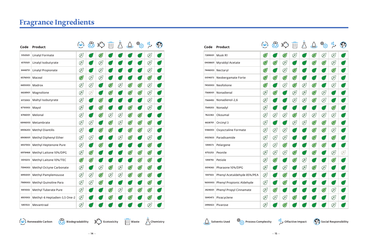| Code    | Product                      | (తి)          | ஜ்            |               | $\parallel \parallel \parallel$ |              |               | తి <sub>ప్ర</sub> | $\frac{6}{3}$ | $\Im$ |
|---------|------------------------------|---------------|---------------|---------------|---------------------------------|--------------|---------------|-------------------|---------------|-------|
| 5150501 | Linalyl Formate              | E             | اعلم          | $\mathscr{L}$ |                                 |              |               |                   | E             | اعطم  |
| 6170501 | Linalyl Isobutyrate          | E             | اعلم          | E             | عر                              |              |               |                   | E             | 飞     |
| 8448751 | Linalyl Propionate           | E             | $\mathbb{R}$  | E             | اعلم                            | بخلإ         |               |                   | Ø             | اعليم |
| 6576003 | Maceal                       | $\mathbb{Z}$  | E             | E             | 冸                               | بخلا         | بخلير         | علىر              | $\mathscr{L}$ | 严     |
| 6655003 | Madrox                       | E             | E             | رعلم          | $\mathscr{L}$                   | E            | $\mathscr{L}$ | $\mathbb{Z}$      | Ø             | (F)   |
| 6638901 | Magnolione                   | E             | E             | رعلم          | $\mathbb{Z}$                    | 酉            | $\mathscr{L}$ | $\mathscr{L}$     | E             | 严     |
| 6172003 | Maltyl Isobutyrate           | E             | اعلم          | $\mathscr{L}$ | E)                              | $\mathbb{F}$ | رعلم          | 冸                 | E             | 冸     |
| 6710003 | Mayol                        | E             | 冯             | $\mathbb{Z}$  | 冸                               | 趻            | $\mathbb{Z}$  | Æ                 | E             | 飞     |
| 6746001 | Melonal                      | E             | اعلم          | $\mathscr{L}$ | E                               | E            | $\mathscr{L}$ | $\mathscr{L}$     | بطلير         | اعلم  |
|         | 6846003   Metambrate         | E             | E             | رعلم          | $\mathbb{Z}$                    | E            | $\mathscr{L}$ | $\mathscr{L}$     | $\mathscr{L}$ | E     |
| 6906203 | <b>Methyl Diantilis</b>      | E             | 凶             | $\mathscr{L}$ | $\mathbb{Z}$                    | 酉            | $\mathscr{L}$ | $\mathbb{Z}$      | E             | 严     |
| 6908001 | Methyl Diphenyl Ether        | E             | E             | بخلي          | 冸                               | E            | $\mathbb{Z}$  | عر                | Ø             | 严     |
| 6937003 | Methyl Heptenone Pure        | E             | 冯             | $\mathbb{Z}$  | (¥)                             | رعلم         | 冸             | $\mathbf{F}$      | $\mathbb{Z}$  | Œ)    |
| 6978468 | Methyl Laitone 10%/DPG       | E             | $\mathscr{L}$ | رعلم          | ¥                               | 凶            | $\mathbb{F}$  | $\mathbb{Z}$      | $\mathbb{Z}$  | 趻     |
| 0010213 | Methyl Laitone 10%/TEC       | $\mathscr{L}$ | $\mathbb{Z}$  | رعلم          | اعطير                           | 四            | 冸             | $\mathscr{L}$     | $\mathscr{L}$ | 严     |
| 7594003 | Methyl Octyne Carbonate      | E             | 鸣             | E             | $\mathbb{Z}$                    | E            | $\mathbb{Z}$  | $\mathscr{L}$     | $\mathscr{L}$ | Œ     |
| 6993001 | <b>Methyl Pamplemousse</b>   | E             | E             | $\mathscr{L}$ | E                               | E            | $\mathscr{L}$ | $\mathscr{L}$     | $\mathscr{L}$ | اعليق |
| 7989003 | Methyl Quinoline Para        | E             | E             | $\mathscr{L}$ | $\mathscr{L}$                   | 冸            | 冸             | عر                | $\mathbb{Z}$  | 冸     |
| 9411003 | Methyl Tuberate Pure         | E             | 凶             | اعلم          | $\mathbb{Z}$                    | E            | $\mathbb{Z}$  | $\mathscr{L}$     | $\mathbb{Z}$  | 严     |
| 6931003 | Methyl-6 Heptadien-3,5 One-2 | E             | عر            |               | $\mathscr{L}$                   | بخلا         | $\mathscr{L}$ |                   | $\mathbb{Z}$  | اعلم  |
| 5851533 | Mevantraal                   | E             |               |               |                                 |              |               |                   | Ø             | ⊭⁄    |

| Code    | Product                     | (O)          |               |               |               |              |               | తి <sub>ప్ర</sub> | $\frac{O_0}{\sqrt{2}}$ |             |
|---------|-----------------------------|--------------|---------------|---------------|---------------|--------------|---------------|-------------------|------------------------|-------------|
| 7289001 | Musk R1                     | $\mathbb{Z}$ | ¥.            | $\mathbb{Z}$  | E             | $\mathbb{P}$ | $\mathscr{L}$ | Œ)                | E                      |             |
| 0408601 | Myraldyl Acetate            | $\mathbb{Z}$ | $\mathscr{L}$ | E             | 飞             | <u>پر</u>    | $\mathscr{E}$ | $\mathbb{Z}$      | E                      |             |
| 7446003 | Nectaryl                    | $\mathbb{Z}$ | $\mathbb{F}$  | E             | $\mathbb{Z}$  | Œ            | Œ             | Œ                 | $\mathscr{L}$          | رعلا        |
| 0014073 | Neobergamate Forte          | $\mathbb{Z}$ | $\mathbb{Z}$  | $\mathbb{Z}$  | $\mathbb{Z}$  | 飞            | 严             | 严                 | E                      | اعلم        |
| 7450003 | Neofolione                  | $\mathbb{Z}$ | $\mathbb{F}$  | E             | $\mathbb{Z}$  | E            | $\mathbb{Z}$  | ど                 | E                      |             |
| 7568001 | Nonadienal                  | E)           | $\mathscr{L}$ | Œ             | E             | E            | $\mathbb{Z}$  | E                 | Œ)                     |             |
| 7568493 | Nonadienol-2,6              | E            | 冸             | Æ,            | E             | E            | $\mathscr{E}$ | E                 | E                      | بخلا        |
| 7569203 | Nonadyl                     | E            | $\mathbb{F}$  | Œ             | Œ,            | Œ            | $(\nvdash)$   | Œ                 | $\mathscr{L}$          | الخلا       |
| 7622363 | Okoumal                     | E            | E             | E             | $\mathbb{Z}$  | E            | E             | E                 | E                      | <u>طر</u>   |
| 6638701 | Orcinyl 3                   | E            | $\mathbb{F}$  | Œ             | E             | E            | $\mathscr{L}$ | $\mathbb{Z}$      | $\mathscr{L}$          | اعلم        |
| 5166003 | Oxyoctaline Formate         | E            | E             | E             | Æ             | 飞            | $\mathbb{Z}$  | $\mathbb{Z}$      | E                      | اعلم        |
| 0025633 | Paradisamide                | E            | E             | E             | 飞             | علا          | $\mathbb{Z}$  | 严                 | $\mathscr{E}$          | يخلخ        |
| 1394573 | Pelargene                   | E            | E             | $\mathbb{Z}$  | Œ             | Œ            | $\mathscr{L}$ | $\mathbb{Z}$      | Œ                      | الخليق      |
| 8753253 | Peonile                     | Œ)           | E             | E             | $\mathbb{Z}$  | اعلم         | $\mathscr{L}$ | 凶                 | Œſ                     | E           |
| 1394793 | Petiole                     | E            | $\mathscr{L}$ | $\mathbb{Z}$  | $\mathscr{L}$ | E            | 飞             | 飞                 | $\mathscr{L}$          | ⊭⁄          |
| 0014363 | Pharaone 10%/DPG            | E            | Æ,            | E             | Œ,            | E            | $\mathscr{L}$ | $\bigcirc$        | (Ł)                    | <u> علم</u> |
| 1597503 | Phenyl Acetaldehyde 85%/PEA | E            | P,            | $\mathscr{E}$ | Œ             | ¥            | P,            | 冸                 | Œ)                     |             |
| 1600003 | Phenyl Propionic Aldehyde   | E            | $\mathbb{F}$  | $\mathscr{L}$ | 飞             | Ŀ            | 飞             | اعلا              | Œ                      |             |
| 3929001 | Phenyl Propyl Cinnamate     | E            | $\mathbb{Z}$  | بخلا          | 飞             |              | ٣             | $\mathbb{Z}$      | E                      |             |
| 5845473 | Pivacyclene                 | E            | E             | E             | $\mathscr{L}$ | 些            | 飞             | ĴŁ,               | E                      |             |
| 3496423 | Pivarose                    | ŒJ           |               | $\mathscr{F}$ |               |              |               |                   | E                      |             |







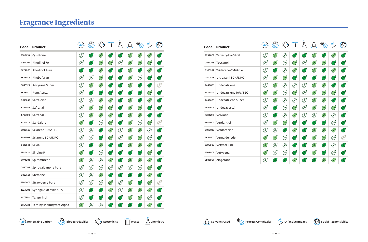| Code    | <b>Product</b>             | (ھ)           | ඤි            |               | $\overline{   }$ |              | $\mathcal{Q}$ | ි<br>දැවූ     | $\frac{O_0}{O}$ | $\mathcal{E}$ |
|---------|----------------------------|---------------|---------------|---------------|------------------|--------------|---------------|---------------|-----------------|---------------|
| 1386453 | Quintone                   | E             | اعلم          | $\mathscr{L}$ | عر               | عر           | $\mathscr{L}$ | $\mathscr{L}$ | $\mathscr{L}$   | اعلم          |
| 8674701 | Rhodinol 70                | E             | اعلم          | $\mathscr{L}$ | $\mathbb{Z}$     | E            | $\mathbb{Z}$  | $\mathscr{L}$ | $\mathscr{L}$   | P-1           |
| 8679003 | <b>Rhodinol Pure</b>       | 酉             | $\mathbb{R}$  | $\mathscr{E}$ | 冸                | 趻            | $\mathscr{L}$ | اعلم          | $\mathscr{L}$   | $\mathbb{R}$  |
| 8683003 | Rhubafuran                 | E             | E             | $\mathscr{L}$ | 冸                | بطلية<br>ا   | $\mathbb{Z}$  | E             | 冸               | اعلم          |
| 5845523 | Rosyrane Super             | E             | $\mathscr{L}$ | $\mathscr{L}$ | 冸                | الخلخ        | $\mathscr{L}$ | عر            | 飞               | E             |
| 8686401 | Rum Acetal                 | E             | 冯             | رعلم          | $\mathbb{R}$     | اعلم         | ٢             | ど             | $\mathbb{Z}$    | 严             |
| 0015893 | Safraleine                 | E             | E             | $\mathbb{Z}$  | $\mathbb{Z}$     | $\mathbb{F}$ | $\mathbb{F}$  | اعطم          | $\mathscr{L}$   | 冸             |
| 8797001 | Safranal                   | E             | $\mathscr{L}$ | $\mathscr{L}$ | $\mathbb{Z}$     | 凈            | $\mathbb{Z}$  | $\mathbb{F}$  | P,              | 严             |
| 8797103 | Safranal P                 | E             | $\mathbb{Z}$  | $\mathscr{L}$ | $\mathbb{Z}$     | 凶            | $\mathscr{L}$ | $\mathbb{Z}$  | 飞               | اعلم          |
| 8847801 | Sandalore                  | $\mathscr{E}$ | 冯             | E             | $\mathbb{Z}$     | $\mathbb{F}$ | $\mathscr{L}$ | E             | $\mathscr{L}$   | E             |
| 0029503 | Sclarene 50%/TEC           | E             | E             | اعلم          | $\mathscr{L}$    | E            | $\mathscr{L}$ | $\mathbb{Z}$  | E               | 严             |
|         | 8892308 Sclarene 80%/DPG   | E             | E             | رعلم          | $\mathbb{Z}$     | E            | $\mathbb{Z}$  | $\mathbb{F}$  | Ø               | 严             |
| 0012543 | Silvial                    | E             | 冸             | $\mathbb{Z}$  | (¥)              | 乤            | $\mathscr{L}$ | $\mathscr{L}$ | $\mathbb{Z}$    | Œ             |
| 1380433 | Sinpine P                  | $\mathbb{Z}$  | 冯             | E             | $\mathbb{F}$     | 酉            | 严             | عز            | $\mathbb{Z}$    | 酉             |
| 8974203 | Spirambrene                | $\mathbb{Z}$  | E             | E             | $\mathbb{Z}$     | 四            | $\mathbb{Z}$  | $\mathscr{L}$ | $\mathscr{L}$   | 严             |
| 0010703 | Spirogalbanone Pure        | E             | E             | E             | E                | E            | E             | E             | $\mathscr{L}$   | $\mathbb{P}$  |
| 9023501 | Stemone                    | E             | E             | $\mathscr{L}$ | 严                | اعجل         | عر            | 当             | $\mathscr{L}$   | 酉             |
|         | 5200003 Strawberry Pure    | E             | E             | E             | $\mathscr{L}$    | E            | $\mathscr{L}$ | 冸             | $\mathbb{Z}$    | E             |
| 1623003 | Syringa Aldehyde 50%       | E             | 凶             | رعلم          | $\mathbb{Z}$     | E            | $\mathbb{F}$  | $\mathscr{L}$ | $\mathbb{Z}$    | $\mathbb{Z}$  |
| 9177303 | Tangerinol                 | E             | اعلم          | عر            | ٣                | بخلا         | $\mathbb{F}$  | $\mathscr{L}$ | E               | اعلم          |
| 5854233 | Terpinyl Isobutyrate Alpha | $\mathscr{L}$ | E             | E             |                  |              |               |               | $\mathbb{Z}$    | اعلم          |

| Code    | Product              | $\infty$     |               |                            |                            |              |               |                            | $\frac{6}{6}$ |              |
|---------|----------------------|--------------|---------------|----------------------------|----------------------------|--------------|---------------|----------------------------|---------------|--------------|
| 9254001 | Tetrahydro Citral    | E            | $\mathscr{L}$ | E                          | P                          | 飞            | $\mathbb{Z}$  | 飞                          | $\mathbb{Z}$  | 飞            |
| 0014203 | Toscanol             | E            | $\mathscr{L}$ | E                          | $\mathscr{L}$              | E            | $\mathscr{L}$ | $\mathbb{Z}$               | 飞             | 巫            |
| 9385201 | Tridecene-2-Nitrile  | E            | 严             | E                          | $\mathbb{Z}$               | P,           | $\mathbb{Z}$  | 飞                          | $\mathbb{Z}$  | $\mathbb{F}$ |
| 0027553 | Ultravanil 80%/DPG   | E            | $\mathbb{Z}$  | $\left(\frac{1}{2}\right)$ | 飞                          | 飞            | 飞             | 飞                          | 凈             | 严            |
| 9449001 | Undecatriene         | E            | $\mathscr{L}$ | E                          | E                          | Œſ           | $\mathbb{Z}$  | $\mathbb{Z}$               | 飞             | 飞            |
| 0011033 | Undecatriene 10%/TEC | $\mathbb{Z}$ | $\mathbb{Z}$  | E                          | $\mathbb{Z}$               | E            | $\mathbb{Z}$  | $\mathbb{Z}$               | $\mathbb{Z}$  | 飞            |
| 9449603 | Undecatriene Super   | E            | $\mathscr{L}$ | E                          | E                          | E            | $\mathscr{L}$ | $\mathscr{L}$              | $\mathbb{P}$  | P,           |
| 9449903 | Undecavertol         | E            | Æ             | E                          | $\mathscr{L}$              | E            | $\mathscr{L}$ | $\left(\frac{1}{k}\right)$ | $\mathbb{Z}$  | 飞            |
| 1382293 | Velvione             | E            | P.            | E                          | $\mathbb{Z}$               | E            | E             | $\mathbb{Z}$               | E             | ŀ            |
|         | 9644003 Verdantiol   | E            | $\mathscr{L}$ | $\mathscr{L}$              | 飞                          | 飞            | Æ,            | 飞                          | E             | $\mathbb{R}$ |
| 0010023 | Verdoracine          | E            | E             | P.                         | $\mathscr{L}$              | 飞            | $\mathbb{Z}$  | $\mathbb{Z}$               | $\mathbb{Z}$  | 巫            |
| 9644601 | Vernaldehyde         | $\mathbb{Z}$ | $\mathbb{Z}$  | E                          | Æ                          | P.           | $\mathbb{Z}$  | $\mathbb{Z}$               | Þ             | Œ)           |
| 9705003 | <b>Vetynal Fine</b>  | $\mathbb{Z}$ | E             | E                          | P,                         | $\mathbb{F}$ | $\mathscr{L}$ | 飞                          | E             | 严            |
| 9706003 | Vetyvenal            | $\mathbb{Z}$ | E             | E                          | 飞                          | 飞            | $\mathbb{Z}$  | 飞                          | Œ)            | 飞            |
| 5503001 | Zingerone            | Œ)           | P             | P                          | $\left(\frac{1}{k}\right)$ | Ψ            | P             | $\mathbb{Z}$               | $\mathbb{Z}$  | 飞            |





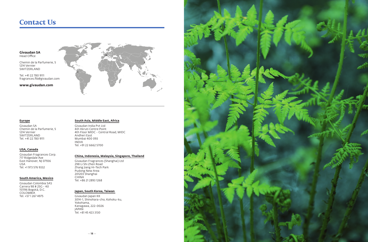### **Contact Us**

**Givaudan SA** Head Office

Chemin de la Parfumerie, 5 1214 Vernier SWITZERLAND

Tel. +41 22 780 9111 fragrances.fib@givaudan.com

**www.givaudan.com**



#### **Europe**

Givaudan SA Chemin de la Parfumerie, 5 1214 Vernier SWITZERLAND Tel. +41 22 780 9111

#### **USA, Canada**

Givaudan Fragrances Corp. 717 Ridgedale Ave East Hanover, NJ 07936 USA Tel. +1 973 576 9332

#### **South America, Mexico**

Givaudan Colombia SAS Carrera 98 # 25G - 40 151196 Bogotá, D.C. COLOMBIA Tel. +57 1 267 4975

#### **South Asia, Middle East, Africa**

Givaudan India Pvt Ltd 401 Akruti Centre Point 4th Floor MIDC - Central Road, MIDC Andheri East Mumbai 400 093 INDIA Tel. +91 22 6662 5700

### **China, Indonesia, Malaysia, Singapore, Thailand**

Givaudan Fragrances (Shanghai) Ltd 298 Li Shi Zhen Road Zhang Jiang Hi-Tech Park Pudong New Area 201203 Shanghai CHINA Tel. +86 21 2893 1268

#### **Japan, South Korea, Taiwan**

Givaudan Japan KK 3014-1, Shinohara-cho, Kohoku-ku, Yokohama, Kanagawa, 222-0026 JAPAN Tel. +81 45 423 3130